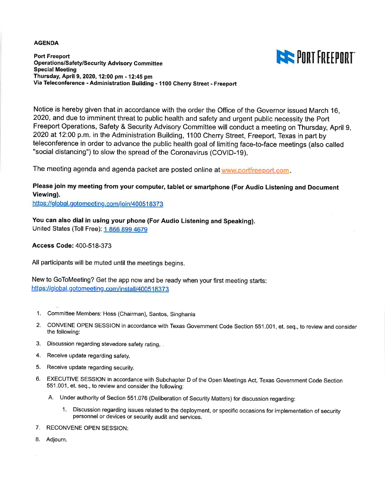#### **AGENDA**



**Port Freeport Operations/Safety/Security Advisory Committee Special Meeting** Thursday, April 9, 2020, 12:00 pm - 12:45 pm Via Teleconference - Administration Building - 1100 Cherry Street - Freeport

Notice is hereby given that in accordance with the order the Office of the Governor issued March 16. 2020, and due to imminent threat to public health and safety and urgent public necessity the Port Freeport Operations, Safety & Security Advisory Committee will conduct a meeting on Thursday, April 9, 2020 at 12:00 p.m. in the Administration Building, 1100 Cherry Street, Freeport, Texas in part by teleconference in order to advance the public health goal of limiting face-to-face meetings (also called "social distancing") to slow the spread of the Coronavirus (COVID-19).

The meeting agenda and agenda packet are posted online at www.portfreeport.com.

#### Please join my meeting from your computer, tablet or smartphone (For Audio Listening and Document Viewing).

https://global.gotomeeting.com/join/400518373

You can also dial in using your phone (For Audio Listening and Speaking).

United States (Toll Free): 1 866 899 4679

**Access Code: 400-518-373** 

All participants will be muted until the meetings begins.

New to GoToMeeting? Get the app now and be ready when your first meeting starts: https://global.gotomeeting.com/install/400518373

- 1. Committee Members: Hoss (Chairman), Santos, Singhania
- 2. CONVENE OPEN SESSION in accordance with Texas Government Code Section 551.001, et. seq., to review and consider the following:
- 3. Discussion regarding stevedore safety rating.
- 4. Receive update regarding safety.
- 5. Receive update regarding security.
- 6. EXECUTIVE SESSION in accordance with Subchapter D of the Open Meetings Act, Texas Government Code Section 551.001, et. seq., to review and consider the following:
	- A. Under authority of Section 551.076 (Deliberation of Security Matters) for discussion regarding:
		- 1. Discussion regarding issues related to the deployment, or specific occasions for implementation of security personnel or devices or security audit and services.
- 7. RECONVENE OPEN SESSION:
- 8. Adjourn.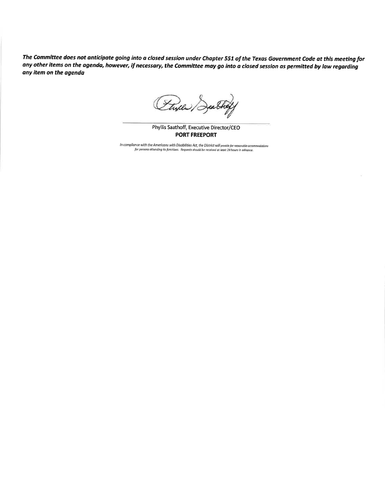The Committee does not anticipate going into a closed session under Chapter 551 of the Texas Government Code at this meeting for any other items on the agenda, however, if necessary, the Committee may go into a closed session as permitted by law regarding any item on the agenda

(Thyle Deathof

Phyllis Saathoff, Executive Director/CEO **PORT FREEPORT** 

In compliance with the Americans with Disabilities Act, the District will provide for reasonable accommodations<br>for persons attending its functions. Requests should be received at least 24 hours in advance.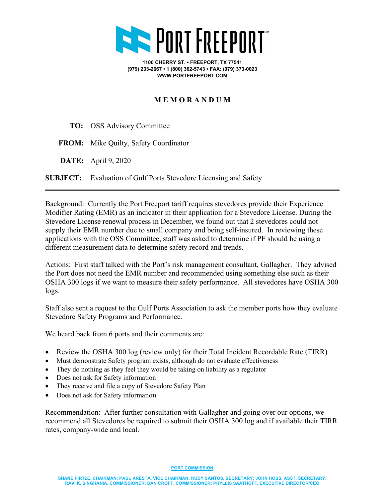

**1100 CHERRY ST. • FREEPORT, TX 77541 (979) 233-2667 • 1 (800) 362-5743 • FAX: (979) 373-0023 WWW.PORTFREEPORT.COM**

#### **M E M O R A N D U M**

- **TO:** OSS Advisory Committee
- **FROM:** Mike Quilty, Safety Coordinator
- **DATE:** April 9, 2020

**SUBJECT:** Evaluation of Gulf Ports Stevedore Licensing and Safety

Background: Currently the Port Freeport tariff requires stevedores provide their Experience Modifier Rating (EMR) as an indicator in their application for a Stevedore License. During the Stevedore License renewal process in December, we found out that 2 stevedores could not supply their EMR number due to small company and being self-insured. In reviewing these applications with the OSS Committee, staff was asked to determine if PF should be using a different measurement data to determine safety record and trends.

Actions: First staff talked with the Port's risk management consultant, Gallagher. They advised the Port does not need the EMR number and recommended using something else such as their OSHA 300 logs if we want to measure their safety performance. All stevedores have OSHA 300 logs.

Staff also sent a request to the Gulf Ports Association to ask the member ports how they evaluate Stevedore Safety Programs and Performance.

We heard back from 6 ports and their comments are:

- Review the OSHA 300 log (review only) for their Total Incident Recordable Rate (TIRR)
- Must demonstrate Safety program exists, although do not evaluate effectiveness
- They do nothing as they feel they would be taking on liability as a regulator
- Does not ask for Safety information
- They receive and file a copy of Stevedore Safety Plan
- Does not ask for Safety information

Recommendation: After further consultation with Gallagher and going over our options, we recommend all Stevedores be required to submit their OSHA 300 log and if available their TIRR rates, company-wide and local.

**PORT COMMISSION**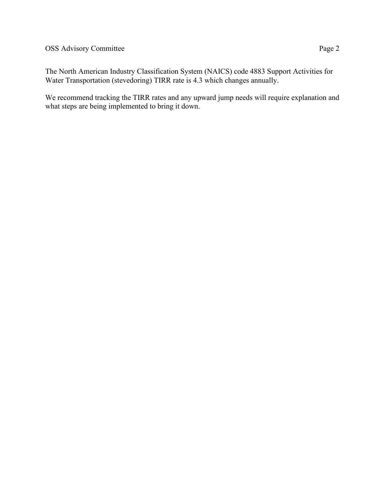The North American Industry Classification System (NAICS) code 4883 Support Activities for Water Transportation (stevedoring) TIRR rate is 4.3 which changes annually.

We recommend tracking the TIRR rates and any upward jump needs will require explanation and what steps are being implemented to bring it down.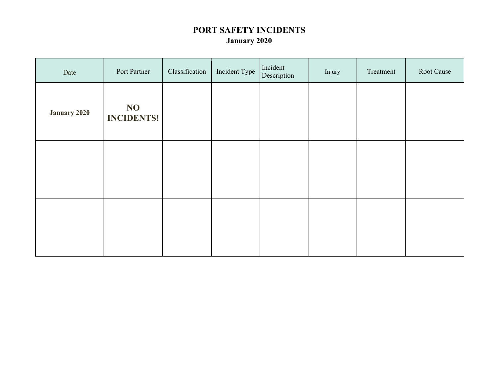## **PORT SAFETY INCIDENTS January 2020**

| Date                | Port Partner            | Classification | Incident Type | Incident<br>Description | Injury | Treatment | Root Cause |
|---------------------|-------------------------|----------------|---------------|-------------------------|--------|-----------|------------|
| <b>January 2020</b> | NO<br><b>INCIDENTS!</b> |                |               |                         |        |           |            |
|                     |                         |                |               |                         |        |           |            |
|                     |                         |                |               |                         |        |           |            |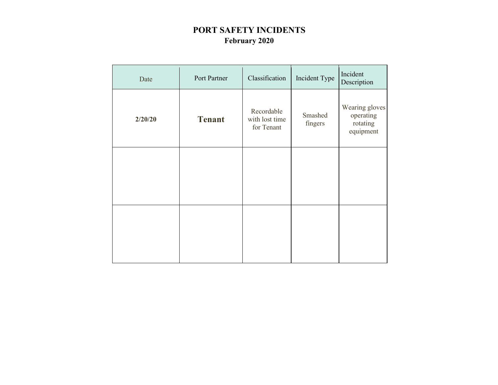# **PORT SAFETY INCIDENTS February 2020**

| Date    | Port Partner  | Classification                             | Incident Type      | Incident<br>Description                              |
|---------|---------------|--------------------------------------------|--------------------|------------------------------------------------------|
| 2/20/20 | <b>Tenant</b> | Recordable<br>with lost time<br>for Tenant | Smashed<br>fingers | Wearing gloves<br>operating<br>rotating<br>equipment |
|         |               |                                            |                    |                                                      |
|         |               |                                            |                    |                                                      |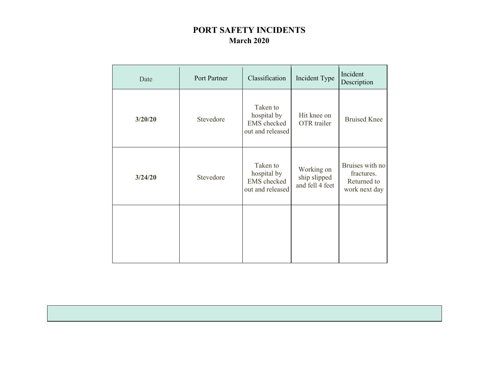## **PORT SAFETY INCIDENTS March 2020**

| Date    | Port Partner | Classification                                                    | Incident Type                                 | Incident<br>Description                                       |
|---------|--------------|-------------------------------------------------------------------|-----------------------------------------------|---------------------------------------------------------------|
| 3/20/20 | Stevedore    | Taken to<br>hospital by<br>EMS checked<br>out and released        | Hit knee on<br>OTR trailer                    | <b>Bruised Knee</b>                                           |
| 3/24/20 | Stevedore    | Taken to<br>hospital by<br><b>EMS</b> checked<br>out and released | Working on<br>ship slipped<br>and fell 4 feet | Bruises with no<br>fractures.<br>Returned to<br>work next day |
|         |              |                                                                   |                                               |                                                               |